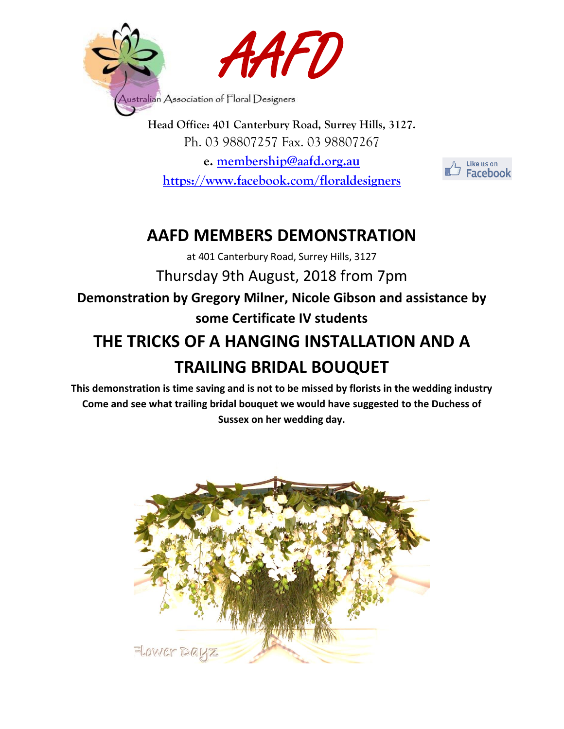

**Head Office: 401 Canterbury Road, Surrey Hills, 3127.** Ph. 03 98807257 Fax. 03 98807267 **e. [membership@aafd.org.au](mailto:membership@aafd.org.au) <https://www.facebook.com/floraldesigners>**

Like us on **Facebook** 

## **AAFD MEMBERS DEMONSTRATION**

at 401 Canterbury Road, Surrey Hills, 3127 Thursday 9th August, 2018 from 7pm

**Demonstration by Gregory Milner, Nicole Gibson and assistance by some Certificate IV students**

# **THE TRICKS OF A HANGING INSTALLATION AND A TRAILING BRIDAL BOUQUET**

**This demonstration is time saving and is not to be missed by florists in the wedding industry Come and see what trailing bridal bouquet we would have suggested to the Duchess of Sussex on her wedding day.**

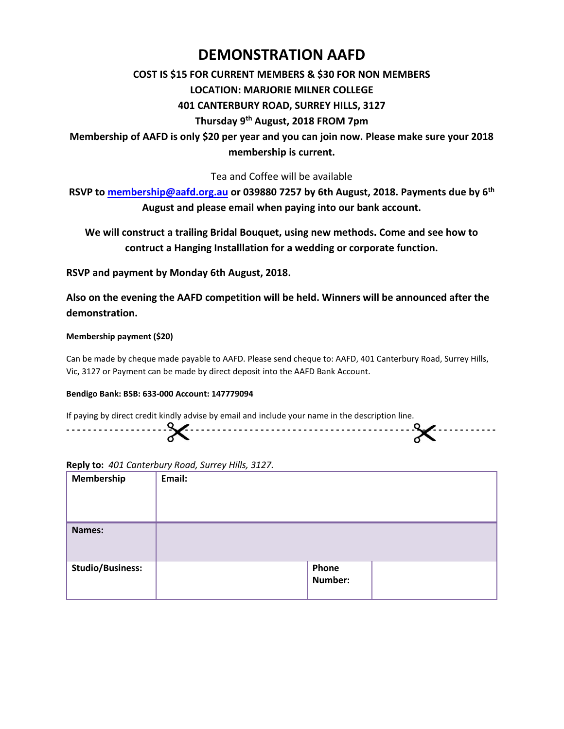### **DEMONSTRATION AAFD**

#### **COST IS \$15 FOR CURRENT MEMBERS & \$30 FOR NON MEMBERS**

#### **LOCATION: MARJORIE MILNER COLLEGE**

#### **401 CANTERBURY ROAD, SURREY HILLS, 3127**

#### **Thursday 9 th August, 2018 FROM 7pm**

**Membership of AAFD is only \$20 per year and you can join now. Please make sure your 2018 membership is current.**

Tea and Coffee will be available

**RSVP to [membership@aafd.org.au](mailto:membership@aafd.org.au) or 039880 7257 by 6th August, 2018. Payments due by 6 th August and please email when paying into our bank account.**

**We will construct a trailing Bridal Bouquet, using new methods. Come and see how to contruct a Hanging Installlation for a wedding or corporate function.**

**RSVP and payment by Monday 6th August, 2018.**

**Also on the evening the AAFD competition will be held. Winners will be announced after the demonstration.**

#### **Membership payment (\$20)**

Can be made by cheque made payable to AAFD. Please send cheque to: AAFD, 401 Canterbury Road, Surrey Hills, Vic, 3127 or Payment can be made by direct deposit into the AAFD Bank Account.

#### **Bendigo Bank: BSB: 633-000 Account: 147779094**

If paying by direct credit kindly advise by email and include your name in the description line.



**Reply to:** *401 Canterbury Road, Surrey Hills, 3127.*

| <b>Membership</b>       | Email: |                         |  |
|-------------------------|--------|-------------------------|--|
| <b>Names:</b>           |        |                         |  |
| <b>Studio/Business:</b> |        | Phone<br><b>Number:</b> |  |